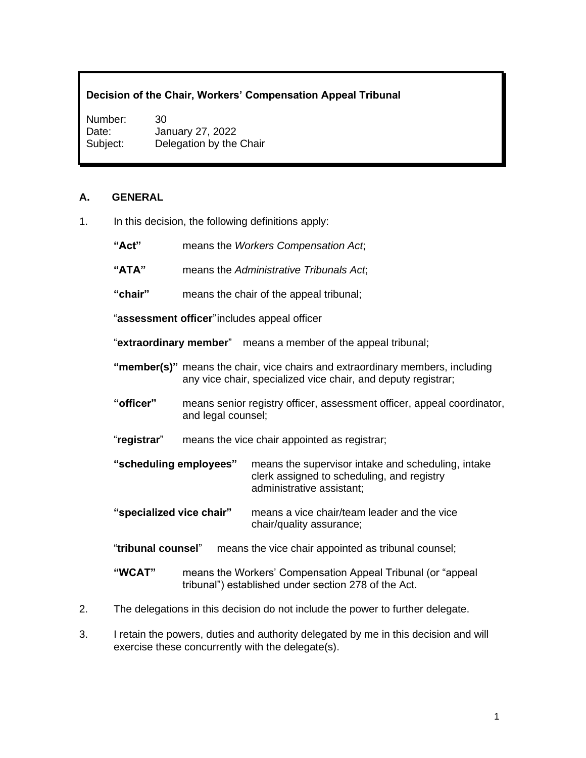## **Decision of the Chair, Workers' Compensation Appeal Tribunal**

Number: 30 Date: January 27, 2022 Subject: Delegation by the Chair

#### **A. GENERAL**

- 1. In this decision, the following definitions apply:
	- **"Act"** means the *Workers Compensation Act*;
	- **"ATA"** means the *Administrative Tribunals Act*;
	- **"chair"** means the chair of the appeal tribunal;

"**assessment officer**"includes appeal officer

"**extraordinary member**" means a member of the appeal tribunal;

- **"member(s)"** means the chair, vice chairs and extraordinary members, including any vice chair, specialized vice chair, and deputy registrar;
- **"officer"** means senior registry officer, assessment officer, appeal coordinator, and legal counsel;
- "**registrar**" means the vice chair appointed as registrar;
- **"scheduling employees"** means the supervisor intake and scheduling, intake clerk assigned to scheduling, and registry administrative assistant;
- **"specialized vice chair"** means a vice chair/team leader and the vice chair/quality assurance;
- "**tribunal counsel**" means the vice chair appointed as tribunal counsel;
- **"WCAT"** means the Workers' Compensation Appeal Tribunal (or "appeal tribunal") established under section 278 of the Act.
- 2. The delegations in this decision do not include the power to further delegate.
- 3. I retain the powers, duties and authority delegated by me in this decision and will exercise these concurrently with the delegate(s).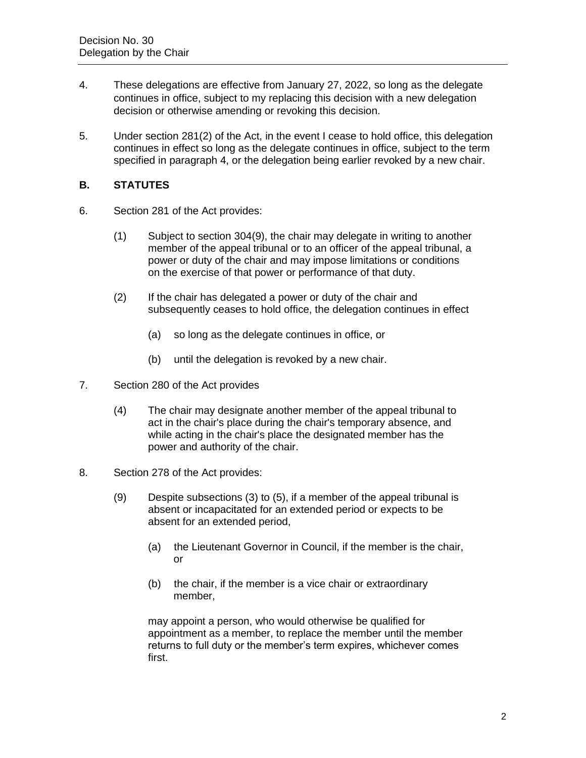- 4. These delegations are effective from January 27, 2022, so long as the delegate continues in office, subject to my replacing this decision with a new delegation decision or otherwise amending or revoking this decision.
- 5. Under section 281(2) of the Act, in the event I cease to hold office, this delegation continues in effect so long as the delegate continues in office, subject to the term specified in paragraph 4, or the delegation being earlier revoked by a new chair.

## **B. STATUTES**

- 6. Section 281 of the Act provides:
	- (1) Subject to section 304(9), the chair may delegate in writing to another member of the appeal tribunal or to an officer of the appeal tribunal, a power or duty of the chair and may impose limitations or conditions on the exercise of that power or performance of that duty.
	- (2) If the chair has delegated a power or duty of the chair and subsequently ceases to hold office, the delegation continues in effect
		- (a) so long as the delegate continues in office, or
		- (b) until the delegation is revoked by a new chair.
- 7. Section 280 of the Act provides
	- (4) The chair may designate another member of the appeal tribunal to act in the chair's place during the chair's temporary absence, and while acting in the chair's place the designated member has the power and authority of the chair.
- 8. Section 278 of the Act provides:
	- (9) Despite subsections (3) to (5), if a member of the appeal tribunal is absent or incapacitated for an extended period or expects to be absent for an extended period,
		- (a) the Lieutenant Governor in Council, if the member is the chair, or
		- (b) the chair, if the member is a vice chair or extraordinary member,

may appoint a person, who would otherwise be qualified for appointment as a member, to replace the member until the member returns to full duty or the member's term expires, whichever comes first.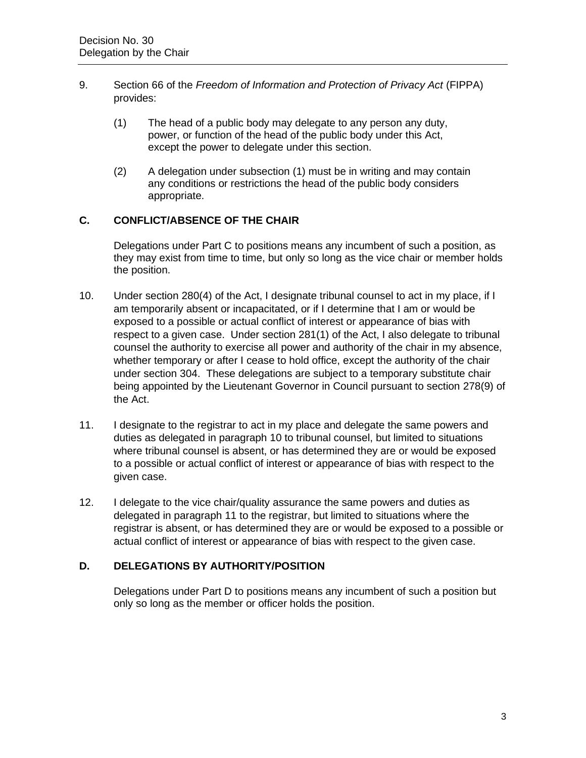- 9. Section 66 of the *Freedom of Information and Protection of Privacy Act* (FIPPA) provides:
	- (1) The head of a public body may delegate to any person any duty, power, or function of the head of the public body under this Act, except the power to delegate under this section.
	- (2) A delegation under subsection (1) must be in writing and may contain any conditions or restrictions the head of the public body considers appropriate.

# **C. CONFLICT/ABSENCE OF THE CHAIR**

Delegations under Part C to positions means any incumbent of such a position, as they may exist from time to time, but only so long as the vice chair or member holds the position.

- 10. Under section 280(4) of the Act, I designate tribunal counsel to act in my place, if I am temporarily absent or incapacitated, or if I determine that I am or would be exposed to a possible or actual conflict of interest or appearance of bias with respect to a given case. Under section 281(1) of the Act, I also delegate to tribunal counsel the authority to exercise all power and authority of the chair in my absence, whether temporary or after I cease to hold office, except the authority of the chair under section 304. These delegations are subject to a temporary substitute chair being appointed by the Lieutenant Governor in Council pursuant to section 278(9) of the Act.
- 11. I designate to the registrar to act in my place and delegate the same powers and duties as delegated in paragraph 10 to tribunal counsel, but limited to situations where tribunal counsel is absent, or has determined they are or would be exposed to a possible or actual conflict of interest or appearance of bias with respect to the given case.
- 12. I delegate to the vice chair/quality assurance the same powers and duties as delegated in paragraph 11 to the registrar, but limited to situations where the registrar is absent, or has determined they are or would be exposed to a possible or actual conflict of interest or appearance of bias with respect to the given case.

# **D. DELEGATIONS BY AUTHORITY/POSITION**

Delegations under Part D to positions means any incumbent of such a position but only so long as the member or officer holds the position.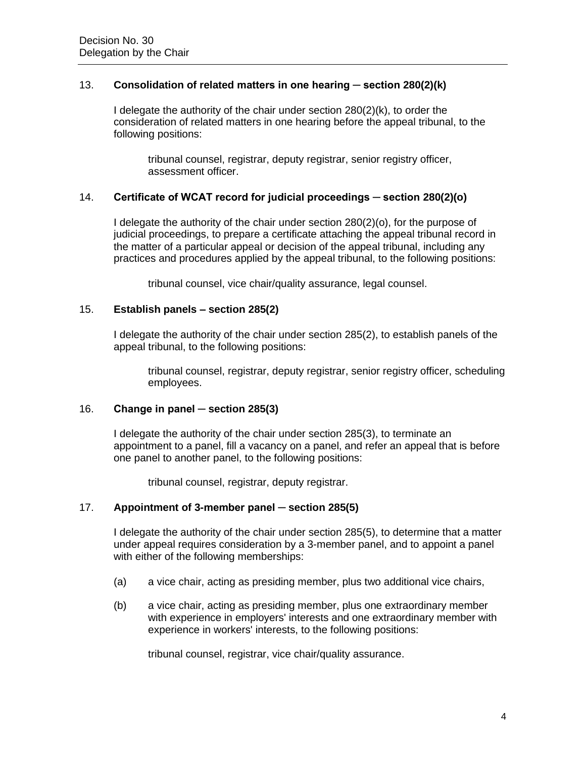## 13. **Consolidation of related matters in one hearing ─ section 280(2)(k)**

I delegate the authority of the chair under section 280(2)(k), to order the consideration of related matters in one hearing before the appeal tribunal, to the following positions:

tribunal counsel, registrar, deputy registrar, senior registry officer, assessment officer.

## 14. **Certificate of WCAT record for judicial proceedings ─ section 280(2)(o)**

I delegate the authority of the chair under section 280(2)(o), for the purpose of judicial proceedings, to prepare a certificate attaching the appeal tribunal record in the matter of a particular appeal or decision of the appeal tribunal, including any practices and procedures applied by the appeal tribunal, to the following positions:

tribunal counsel, vice chair/quality assurance, legal counsel.

#### 15. **Establish panels – section 285(2)**

I delegate the authority of the chair under section 285(2), to establish panels of the appeal tribunal, to the following positions:

tribunal counsel, registrar, deputy registrar, senior registry officer, scheduling employees.

#### 16. **Change in panel ─ section 285(3)**

I delegate the authority of the chair under section 285(3), to terminate an appointment to a panel, fill a vacancy on a panel, and refer an appeal that is before one panel to another panel, to the following positions:

tribunal counsel, registrar, deputy registrar.

#### 17. **Appointment of 3-member panel ─ section 285(5)**

I delegate the authority of the chair under section 285(5), to determine that a matter under appeal requires consideration by a 3-member panel, and to appoint a panel with either of the following memberships:

- (a) a vice chair, acting as presiding member, plus two additional vice chairs,
- (b) a vice chair, acting as presiding member, plus one extraordinary member with experience in employers' interests and one extraordinary member with experience in workers' interests, to the following positions:

tribunal counsel, registrar, vice chair/quality assurance.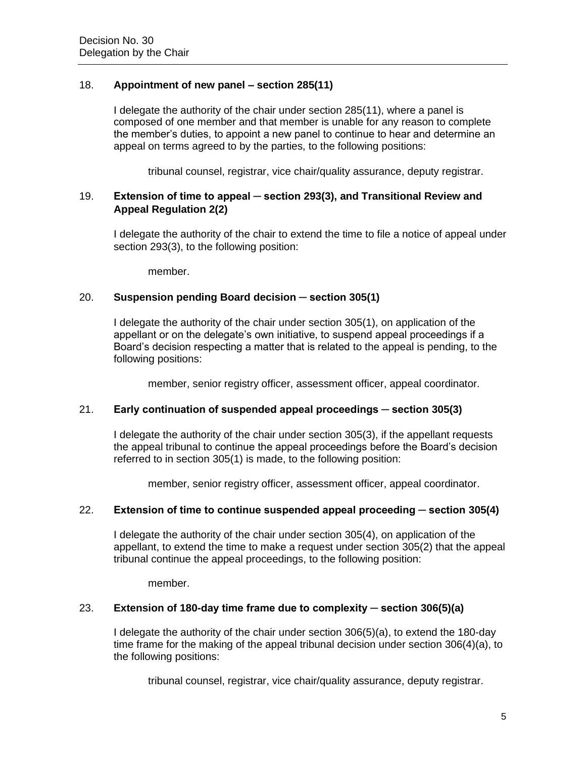## 18. **Appointment of new panel – section 285(11)**

I delegate the authority of the chair under section 285(11), where a panel is composed of one member and that member is unable for any reason to complete the member's duties, to appoint a new panel to continue to hear and determine an appeal on terms agreed to by the parties, to the following positions:

tribunal counsel, registrar, vice chair/quality assurance, deputy registrar.

## 19. **Extension of time to appeal ─ section 293(3), and Transitional Review and Appeal Regulation 2(2)**

I delegate the authority of the chair to extend the time to file a notice of appeal under section 293(3), to the following position:

member.

## 20. **Suspension pending Board decision ─ section 305(1)**

I delegate the authority of the chair under section 305(1), on application of the appellant or on the delegate's own initiative, to suspend appeal proceedings if a Board's decision respecting a matter that is related to the appeal is pending, to the following positions:

member, senior registry officer, assessment officer, appeal coordinator.

#### 21. **Early continuation of suspended appeal proceedings ─ section 305(3)**

I delegate the authority of the chair under section 305(3), if the appellant requests the appeal tribunal to continue the appeal proceedings before the Board's decision referred to in section 305(1) is made, to the following position:

member, senior registry officer, assessment officer, appeal coordinator.

#### 22. **Extension of time to continue suspended appeal proceeding ─ section 305(4)**

I delegate the authority of the chair under section 305(4), on application of the appellant, to extend the time to make a request under section 305(2) that the appeal tribunal continue the appeal proceedings, to the following position:

member.

#### 23. **Extension of 180-day time frame due to complexity ─ section 306(5)(a)**

I delegate the authority of the chair under section 306(5)(a), to extend the 180-day time frame for the making of the appeal tribunal decision under section 306(4)(a), to the following positions:

tribunal counsel, registrar, vice chair/quality assurance, deputy registrar.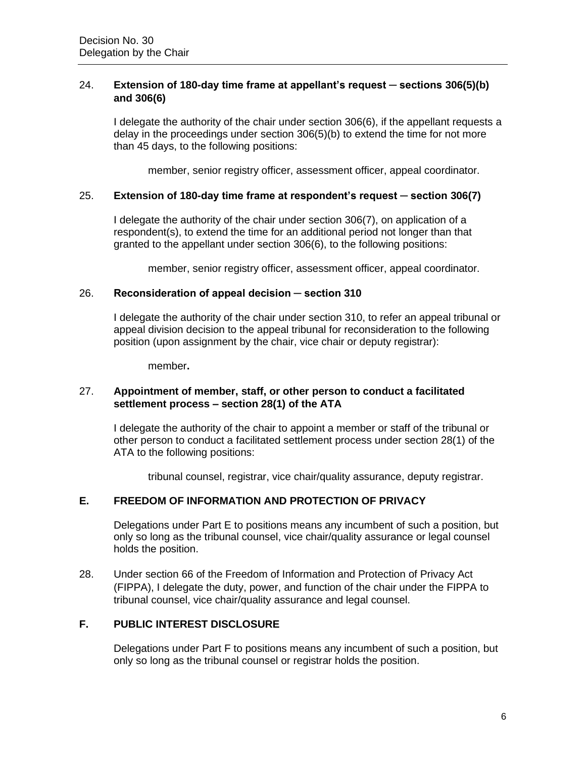## 24. **Extension of 180-day time frame at appellant's request ─ sections 306(5)(b) and 306(6)**

I delegate the authority of the chair under section 306(6), if the appellant requests a delay in the proceedings under section 306(5)(b) to extend the time for not more than 45 days, to the following positions:

member, senior registry officer, assessment officer, appeal coordinator.

## 25. **Extension of 180-day time frame at respondent's request ─ section 306(7)**

I delegate the authority of the chair under section 306(7), on application of a respondent(s), to extend the time for an additional period not longer than that granted to the appellant under section 306(6), to the following positions:

member, senior registry officer, assessment officer, appeal coordinator.

#### 26. **Reconsideration of appeal decision ─ section 310**

I delegate the authority of the chair under section 310, to refer an appeal tribunal or appeal division decision to the appeal tribunal for reconsideration to the following position (upon assignment by the chair, vice chair or deputy registrar):

member**.**

## 27. **Appointment of member, staff, or other person to conduct a facilitated settlement process – section 28(1) of the ATA**

I delegate the authority of the chair to appoint a member or staff of the tribunal or other person to conduct a facilitated settlement process under section 28(1) of the ATA to the following positions:

tribunal counsel, registrar, vice chair/quality assurance, deputy registrar.

# **E. FREEDOM OF INFORMATION AND PROTECTION OF PRIVACY**

Delegations under Part E to positions means any incumbent of such a position, but only so long as the tribunal counsel, vice chair/quality assurance or legal counsel holds the position.

28. Under section 66 of the Freedom of Information and Protection of Privacy Act (FIPPA), I delegate the duty, power, and function of the chair under the FIPPA to tribunal counsel, vice chair/quality assurance and legal counsel.

## **F. PUBLIC INTEREST DISCLOSURE**

Delegations under Part F to positions means any incumbent of such a position, but only so long as the tribunal counsel or registrar holds the position.